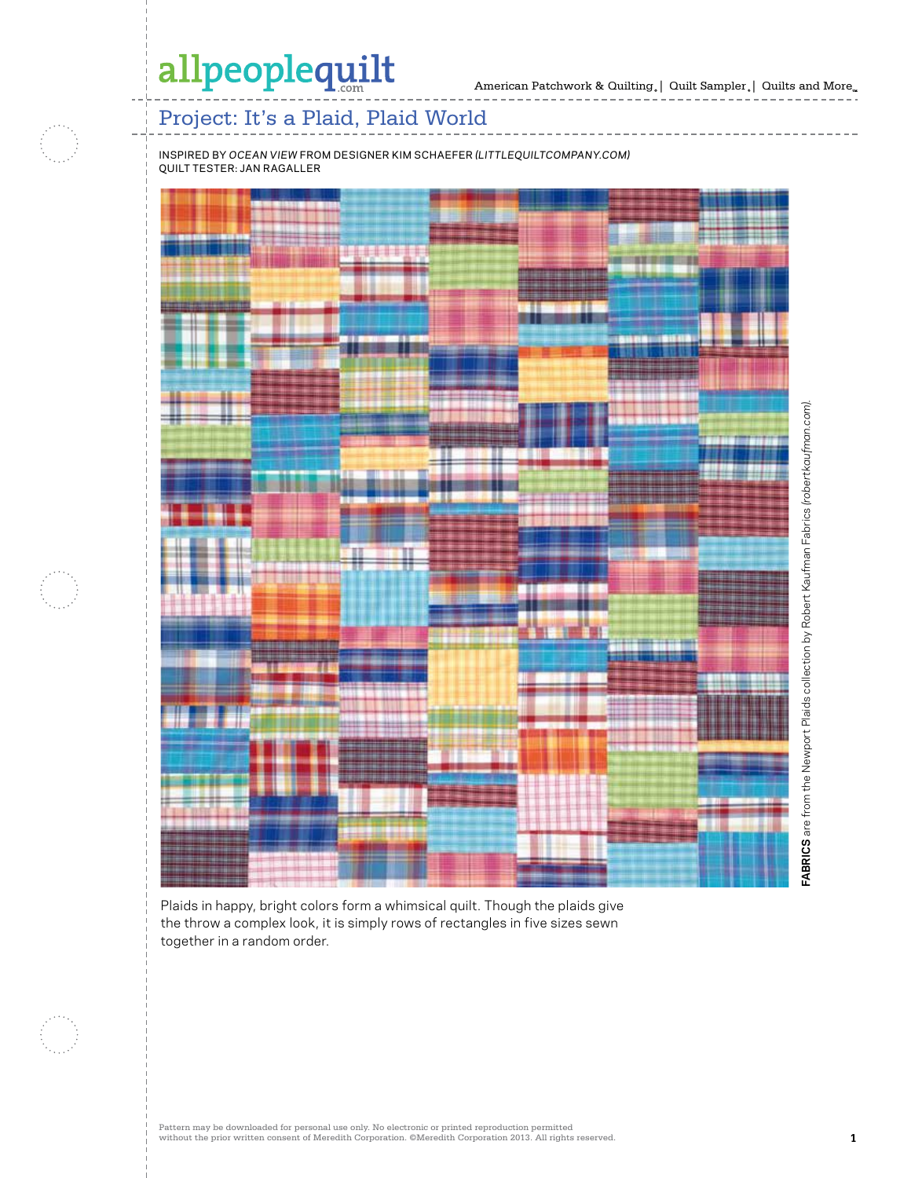## allpeoplequilt

American Patchwork & Quilting  $_{\circ} \, | \,$  Quilt Sampler  $_{\circ} \, | \,$  Quilts and More  $_{\circ} \,$ 

### Project: It's a Plaid, Plaid World

inspired by *ocean view* from designer kim schaefer *(littlequiltcompany.com)* quilt tester: jan ragaller



Plaids in happy, bright colors form a whimsical quilt. Though the plaids give the throw a complex look, it is simply rows of rectangles in five sizes sewn together in a random order.

Pattern may be downloaded for personal use only. No electronic or printed reproduction permitted without the prior written consent of Meredith Corporation. ©Meredith Corporation 2013. All rights reserved. **1**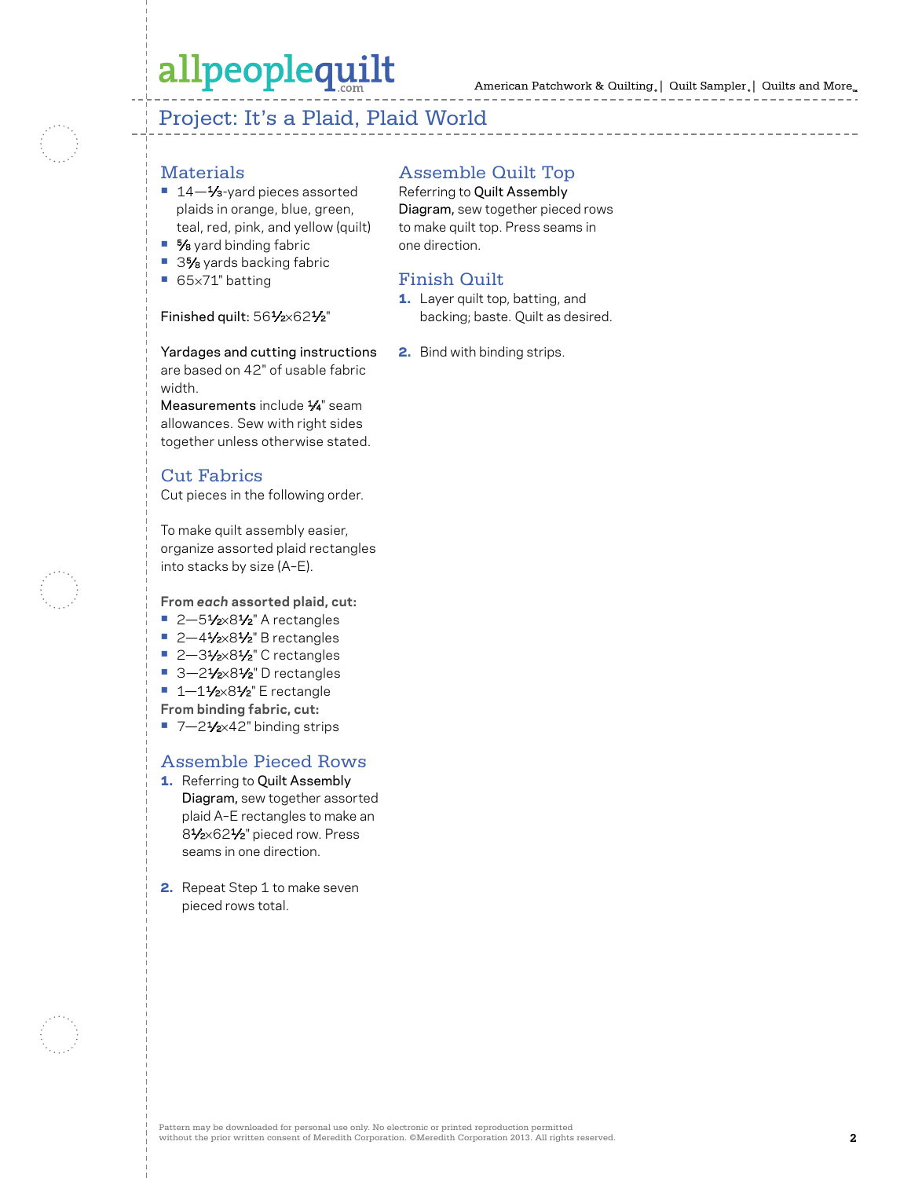# allpeoplequilt

American Patchwork & Quilting | Quilt Sampler | Quilts and More

### Project: It's a Plaid, Plaid World

#### **Materials**

- 14<sup>-1</sup>⁄<sub>3</sub>-yard pieces assorted plaids in orange, blue, green, teal, red, pink, and yellow (quilt)
- **•** 5⁄8 yard binding fabric
- 3<sup>5</sup>⁄8 yards backing fabric
- **•** 65×71" batting

#### Finished quilt: 561/2×621/2"

Yardages and cutting instructions are based on 42" of usable fabric width.

Measurements include  $\frac{1}{4}$ " seam allowances. Sew with right sides together unless otherwise stated.

#### Cut Fabrics

Cut pieces in the following order.

To make quilt assembly easier, organize assorted plaid rectangles into stacks by size (A–E).

**From** *each* **assorted plaid, cut:** 

- 2-51⁄2×81⁄2" A rectangles
- 2-41⁄2×81⁄2" B rectangles
- 2-31⁄2×81⁄2" C rectangles
- 3-21⁄2×81⁄2" D rectangles
- 1-11⁄2×81⁄2" E rectangle
- **From binding fabric, cut:**
- 7-21⁄<sub>2×42</sub>" binding strips

#### Assemble Pieced Rows

- 1. Referring to Quilt Assembly Diagram, sew together assorted plaid A–E rectangles to make an 81⁄2×621⁄2" pieced row. Press seams in one direction.
- 2. Repeat Step 1 to make seven pieced rows total.

#### Assemble Quilt Top

Referring to Quilt Assembly Diagram, sew together pieced rows to make quilt top. Press seams in one direction.

#### Finish Quilt

- 1. Layer quilt top, batting, and backing; baste. Quilt as desired.
- 2. Bind with binding strips.